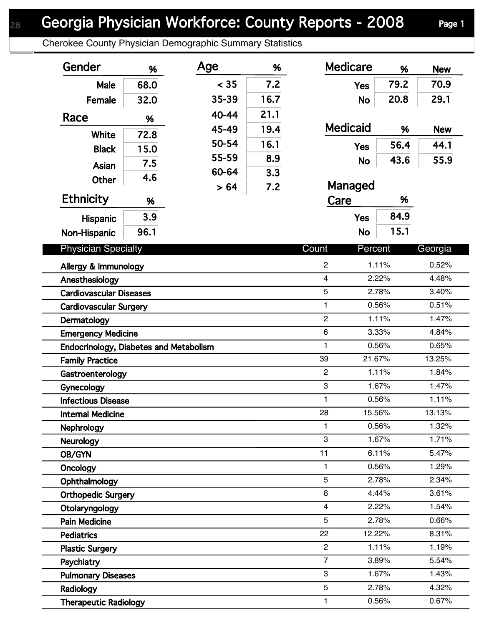## Georgia Physician Workforce: County Reports - 2008 Page 1

Cherokee County Physician Demographic Summary Statistics

| Gender                                 | %    | Age   | %    | <b>Medicare</b>  | %      | <b>New</b> |
|----------------------------------------|------|-------|------|------------------|--------|------------|
| Male                                   | 68.0 | < 35  | 7.2  | <b>Yes</b>       | 79.2   | 70.9       |
| Female                                 | 32.0 | 35-39 | 16.7 | <b>No</b>        | 20.8   | 29.1       |
| Race                                   |      | 40-44 | 21.1 |                  |        |            |
|                                        | %    | 45-49 | 19.4 | <b>Medicaid</b>  | %      | <b>New</b> |
| White                                  | 72.8 | 50-54 | 16.1 |                  | 56.4   | 44.1       |
| <b>Black</b>                           | 15.0 | 55-59 | 8.9  | <b>Yes</b>       |        |            |
| Asian                                  | 7.5  | 60-64 | 3.3  | <b>No</b>        | 43.6   | 55.9       |
| <b>Other</b>                           | 4.6  | > 64  | 7.2  | Managed          |        |            |
| <b>Ethnicity</b>                       | %    |       |      | Care             | %      |            |
| <b>Hispanic</b>                        | 3.9  |       |      | <b>Yes</b>       | 84.9   |            |
| Non-Hispanic                           | 96.1 |       |      | <b>No</b>        | 15.1   |            |
|                                        |      |       |      |                  |        |            |
| <b>Physician Specialty</b>             |      |       |      | Count<br>Percent |        | Georgia    |
| Allergy & Immunology                   |      |       |      | $\overline{c}$   | 1.11%  | 0.52%      |
| Anesthesiology                         |      |       |      | 4                | 2.22%  | 4.48%      |
| <b>Cardiovascular Diseases</b>         |      |       |      | 5                | 2.78%  | 3.40%      |
| <b>Cardiovascular Surgery</b>          |      |       |      | 1                | 0.56%  | 0.51%      |
| Dermatology                            |      |       |      | $\overline{2}$   | 1.11%  | 1.47%      |
| <b>Emergency Medicine</b>              |      |       |      | 6                | 3.33%  | 4.84%      |
| Endocrinology, Diabetes and Metabolism |      |       |      | $\mathbf{1}$     | 0.56%  | 0.65%      |
| <b>Family Practice</b>                 |      |       |      | 39               | 21.67% | 13.25%     |
| Gastroenterology                       |      |       |      | $\overline{c}$   | 1.11%  | 1.84%      |
| Gynecology                             |      |       |      | 3                | 1.67%  | 1.47%      |
| <b>Infectious Disease</b>              |      |       |      | 1                | 0.56%  | 1.11%      |
| <b>Internal Medicine</b>               |      |       |      | 28               | 15.56% | 13.13%     |
| <b>Nephrology</b>                      |      |       |      | 1                | 0.56%  | 1.32%      |
| <b>Neurology</b>                       |      |       |      | 3                | 1.67%  | 1.71%      |
| <b>OB/GYN</b>                          |      |       |      | 11               | 6.11%  | 5.47%      |
| Oncology                               |      |       |      | 1                | 0.56%  | 1.29%      |
| Ophthalmology                          |      |       |      | 5                | 2.78%  | 2.34%      |
| <b>Orthopedic Surgery</b>              |      |       |      | 8                | 4.44%  | 3.61%      |
| Otolaryngology                         |      |       |      | 4                | 2.22%  | 1.54%      |
| <b>Pain Medicine</b>                   |      |       |      | 5                | 2.78%  | 0.66%      |
| <b>Pediatrics</b>                      |      |       |      | 22               | 12.22% | 8.31%      |
| <b>Plastic Surgery</b>                 |      |       |      | $\overline{2}$   | 1.11%  | 1.19%      |
| Psychiatry                             |      |       |      | $\overline{7}$   | 3.89%  | 5.54%      |
| <b>Pulmonary Diseases</b>              |      |       |      | 3                | 1.67%  | 1.43%      |
| Radiology                              |      |       |      | 5                | 2.78%  | 4.32%      |
| <b>Therapeutic Radiology</b>           |      |       |      | 1                | 0.56%  | 0.67%      |